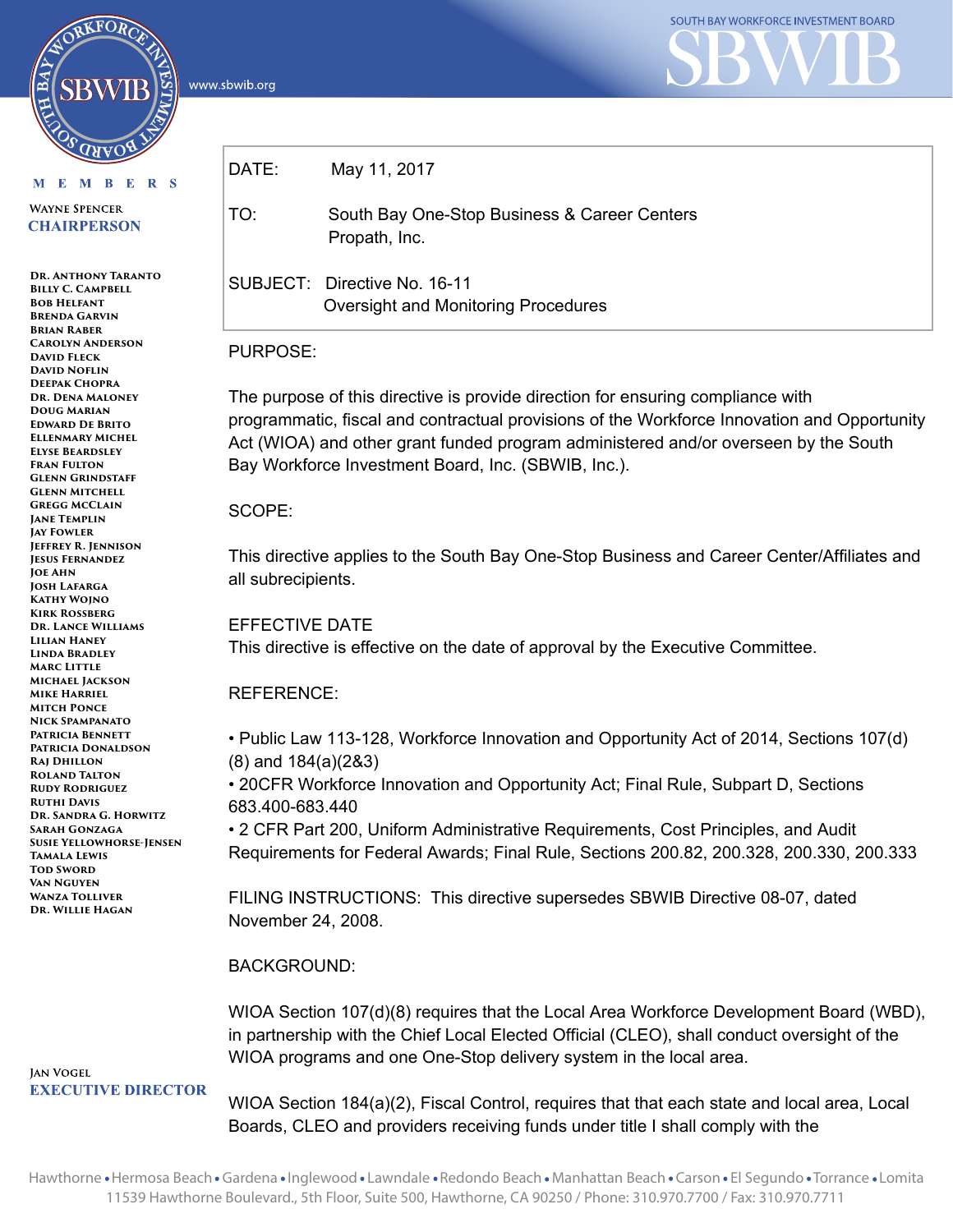www.sbwib.org



M E M B E R S

RKFORC

**WAYNE SPENCER CHAIRPERSON** 

**Dr. Anthony Taranto BILLY C. CAMPBELL Bob Helfant Brenda Garvin Brian Raber Carolyn Anderson David Fleck David Noflin Deepak Chopra Dr. Dena Maloney Doug Marian Edward De Brito Ellenmary Michel Elyse Beardsley Fran Fulton Glenn Grindstaff Glenn Mitchell Gregg McClain Jane Templin Jay Fowler Jeffrey R. Jennison Jesus Fernandez Joe Ahn Josh Lafarga Kathy Wojno Kirk Rossberg Dr. Lance Williams Lilian Haney Linda Bradley Marc Little Michael Jackson Mike Harriel Mitch Ponce Nick Spampanato Patricia Bennett Patricia Donaldson Raj Dhillon Roland Talton Rudy Rodriguez Ruthi Davis Dr. Sandra G. Horwitz Sarah Gonzaga Susie Yellowhorse-Jensen Tamala Lewis Tod Sword Van Nguyen Wanza Tolliver Dr. Willie Hagan**

**JAN VOGEL EXECUTIVE DIRECTOR** 

| DATE: | May 11, 2017                                                        |
|-------|---------------------------------------------------------------------|
| TO:   | South Bay One-Stop Business & Career Centers<br>Propath, Inc.       |
|       | SUBJECT: Directive No. 16-11<br>Oversight and Monitoring Procedures |

## PURPOSE:

The purpose of this directive is provide direction for ensuring compliance with programmatic, fiscal and contractual provisions of the Workforce Innovation and Opportunity Act (WIOA) and other grant funded program administered and/or overseen by the South Bay Workforce Investment Board, Inc. (SBWIB, Inc.).

#### SCOPE:

This directive applies to the South Bay One-Stop Business and Career Center/Affiliates and all subrecipients.

EFFECTIVE DATE This directive is effective on the date of approval by the Executive Committee.

# REFERENCE:

• Public Law 113-128, Workforce Innovation and Opportunity Act of 2014, Sections 107(d) (8) and 184(a)(2&3)

• 20CFR Workforce Innovation and Opportunity Act; Final Rule, Subpart D, Sections 683.400-683.440

• 2 CFR Part 200, Uniform Administrative Requirements, Cost Principles, and Audit Requirements for Federal Awards; Final Rule, Sections 200.82, 200.328, 200.330, 200.333

FILING INSTRUCTIONS: This directive supersedes SBWIB Directive 08-07, dated November 24, 2008.

## BACKGROUND:

WIOA Section 107(d)(8) requires that the Local Area Workforce Development Board (WBD), in partnership with the Chief Local Elected Official (CLEO), shall conduct oversight of the WIOA programs and one One-Stop delivery system in the local area.

WIOA Section 184(a)(2), Fiscal Control, requires that that each state and local area, Local Boards, CLEO and providers receiving funds under title I shall comply with the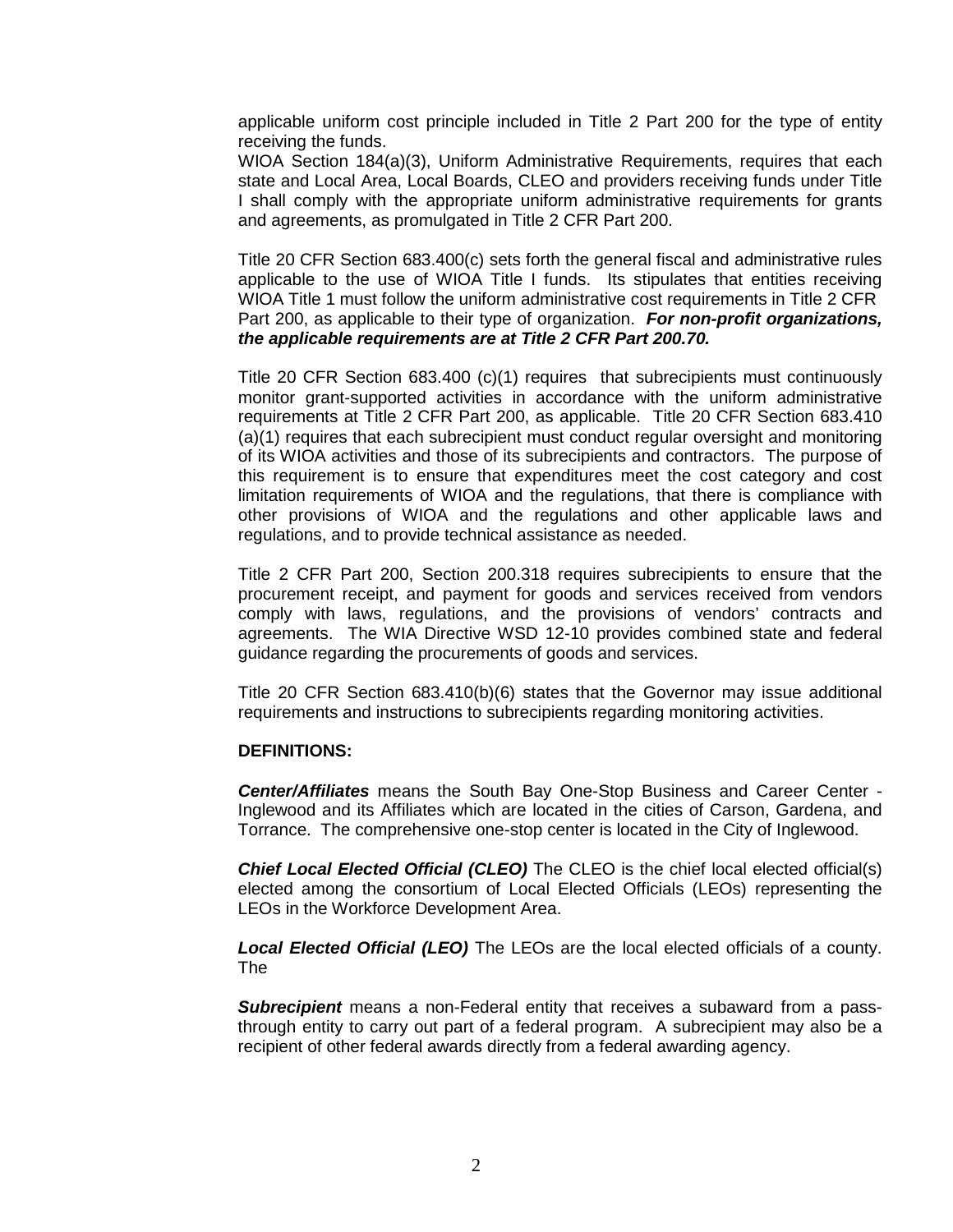applicable uniform cost principle included in Title 2 Part 200 for the type of entity receiving the funds.

WIOA Section 184(a)(3), Uniform Administrative Requirements, requires that each state and Local Area, Local Boards, CLEO and providers receiving funds under Title I shall comply with the appropriate uniform administrative requirements for grants and agreements, as promulgated in Title 2 CFR Part 200.

Title 20 CFR Section 683.400(c) sets forth the general fiscal and administrative rules applicable to the use of WIOA Title I funds. Its stipulates that entities receiving WIOA Title 1 must follow the uniform administrative cost requirements in Title 2 CFR Part 200, as applicable to their type of organization. *For non-profit organizations, the applicable requirements are at Title 2 CFR Part 200.70.*

Title 20 CFR Section 683.400 (c)(1) requires that subrecipients must continuously monitor grant-supported activities in accordance with the uniform administrative requirements at Title 2 CFR Part 200, as applicable. Title 20 CFR Section 683.410 (a)(1) requires that each subrecipient must conduct regular oversight and monitoring of its WIOA activities and those of its subrecipients and contractors. The purpose of this requirement is to ensure that expenditures meet the cost category and cost limitation requirements of WIOA and the regulations, that there is compliance with other provisions of WIOA and the regulations and other applicable laws and regulations, and to provide technical assistance as needed.

Title 2 CFR Part 200, Section 200.318 requires subrecipients to ensure that the procurement receipt, and payment for goods and services received from vendors comply with laws, regulations, and the provisions of vendors' contracts and agreements. The WIA Directive WSD 12-10 provides combined state and federal guidance regarding the procurements of goods and services.

Title 20 CFR Section 683.410(b)(6) states that the Governor may issue additional requirements and instructions to subrecipients regarding monitoring activities.

#### **DEFINITIONS:**

*Center/Affiliates* means the South Bay One-Stop Business and Career Center - Inglewood and its Affiliates which are located in the cities of Carson, Gardena, and Torrance. The comprehensive one-stop center is located in the City of Inglewood.

*Chief Local Elected Official (CLEO)* The CLEO is the chief local elected official(s) elected among the consortium of Local Elected Officials (LEOs) representing the LEOs in the Workforce Development Area.

*Local Elected Official (LEO)* The LEOs are the local elected officials of a county. The

*Subrecipient* means a non-Federal entity that receives a subaward from a passthrough entity to carry out part of a federal program. A subrecipient may also be a recipient of other federal awards directly from a federal awarding agency.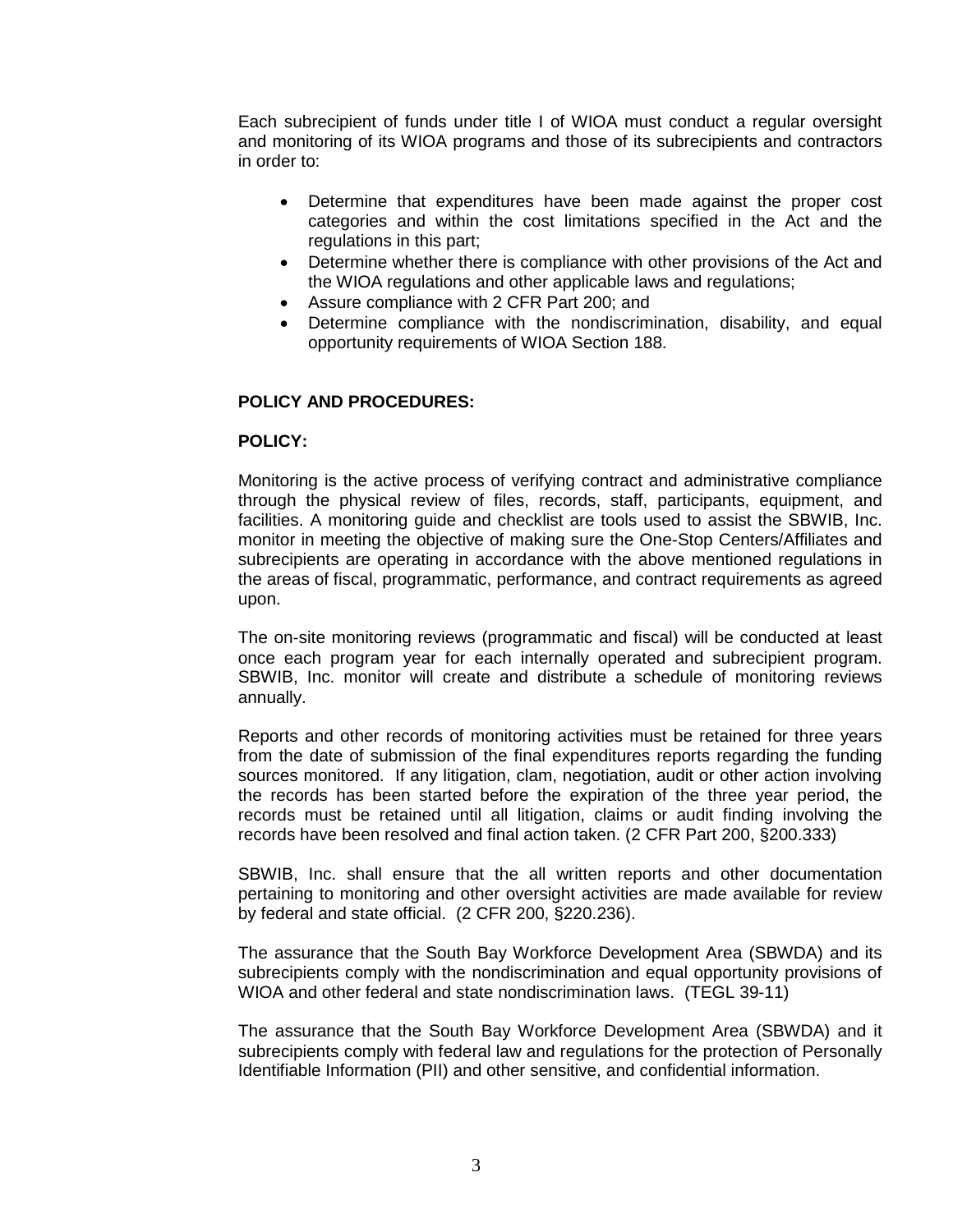Each subrecipient of funds under title I of WIOA must conduct a regular oversight and monitoring of its WIOA programs and those of its subrecipients and contractors in order to:

- Determine that expenditures have been made against the proper cost categories and within the cost limitations specified in the Act and the regulations in this part;
- Determine whether there is compliance with other provisions of the Act and the WIOA regulations and other applicable laws and regulations;
- Assure compliance with 2 CFR Part 200; and
- Determine compliance with the nondiscrimination, disability, and equal opportunity requirements of WIOA Section 188.

#### **POLICY AND PROCEDURES:**

#### **POLICY:**

Monitoring is the active process of verifying contract and administrative compliance through the physical review of files, records, staff, participants, equipment, and facilities. A monitoring guide and checklist are tools used to assist the SBWIB, Inc. monitor in meeting the objective of making sure the One-Stop Centers/Affiliates and subrecipients are operating in accordance with the above mentioned regulations in the areas of fiscal, programmatic, performance, and contract requirements as agreed upon.

The on-site monitoring reviews (programmatic and fiscal) will be conducted at least once each program year for each internally operated and subrecipient program. SBWIB, Inc. monitor will create and distribute a schedule of monitoring reviews annually.

Reports and other records of monitoring activities must be retained for three years from the date of submission of the final expenditures reports regarding the funding sources monitored. If any litigation, clam, negotiation, audit or other action involving the records has been started before the expiration of the three year period, the records must be retained until all litigation, claims or audit finding involving the records have been resolved and final action taken. (2 CFR Part 200, §200.333)

SBWIB, Inc. shall ensure that the all written reports and other documentation pertaining to monitoring and other oversight activities are made available for review by federal and state official. (2 CFR 200, §220.236).

The assurance that the South Bay Workforce Development Area (SBWDA) and its subrecipients comply with the nondiscrimination and equal opportunity provisions of WIOA and other federal and state nondiscrimination laws. (TEGL 39-11)

The assurance that the South Bay Workforce Development Area (SBWDA) and it subrecipients comply with federal law and regulations for the protection of Personally Identifiable Information (PII) and other sensitive, and confidential information.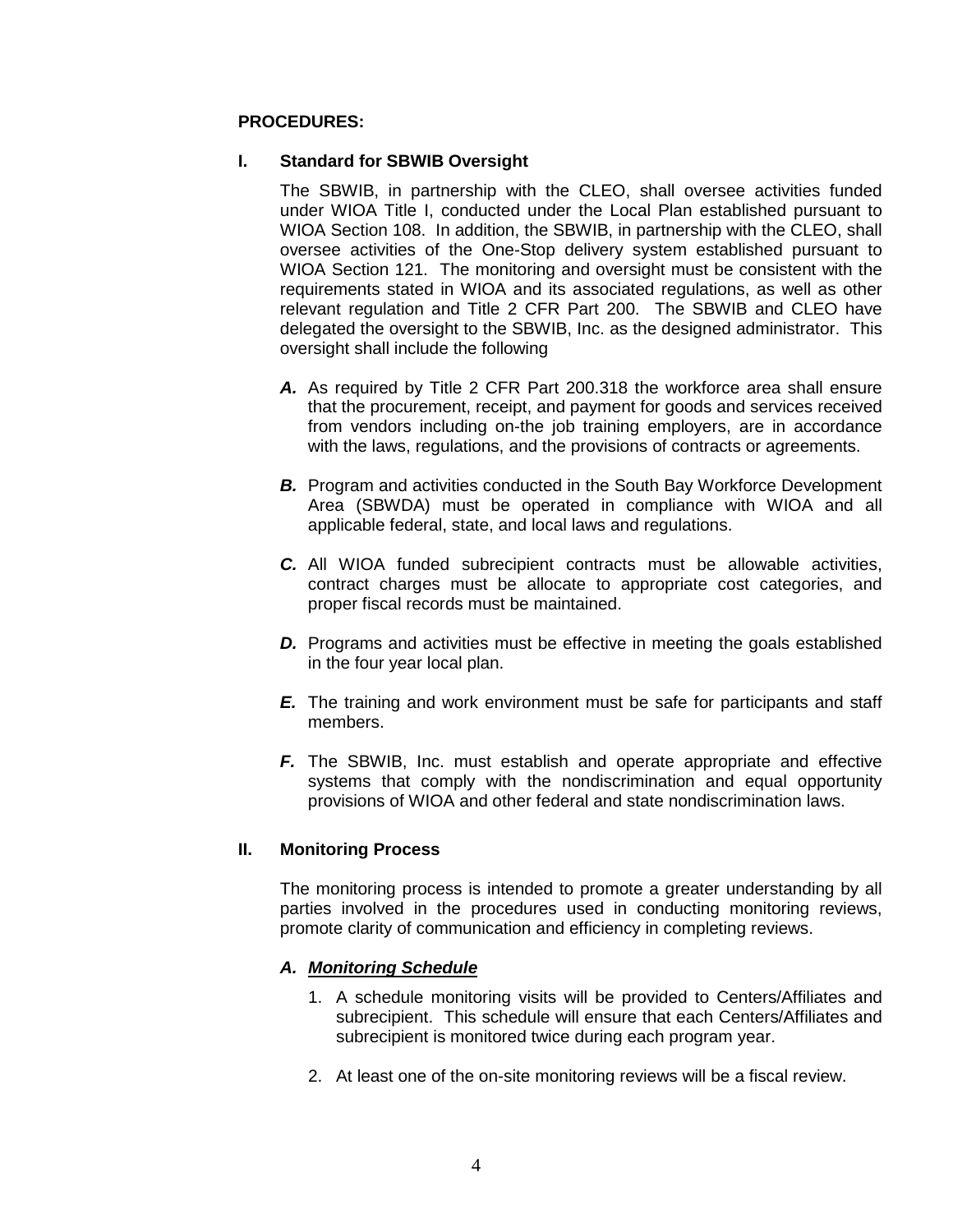#### **PROCEDURES:**

#### **I. Standard for SBWIB Oversight**

The SBWIB, in partnership with the CLEO, shall oversee activities funded under WIOA Title I, conducted under the Local Plan established pursuant to WIOA Section 108. In addition, the SBWIB, in partnership with the CLEO, shall oversee activities of the One-Stop delivery system established pursuant to WIOA Section 121. The monitoring and oversight must be consistent with the requirements stated in WIOA and its associated regulations, as well as other relevant regulation and Title 2 CFR Part 200. The SBWIB and CLEO have delegated the oversight to the SBWIB, Inc. as the designed administrator. This oversight shall include the following

- *A.* As required by Title 2 CFR Part 200.318 the workforce area shall ensure that the procurement, receipt, and payment for goods and services received from vendors including on-the job training employers, are in accordance with the laws, regulations, and the provisions of contracts or agreements.
- **B.** Program and activities conducted in the South Bay Workforce Development Area (SBWDA) must be operated in compliance with WIOA and all applicable federal, state, and local laws and regulations.
- *C.* All WIOA funded subrecipient contracts must be allowable activities, contract charges must be allocate to appropriate cost categories, and proper fiscal records must be maintained.
- **D.** Programs and activities must be effective in meeting the goals established in the four year local plan.
- *E.* The training and work environment must be safe for participants and staff members.
- *F.* The SBWIB, Inc. must establish and operate appropriate and effective systems that comply with the nondiscrimination and equal opportunity provisions of WIOA and other federal and state nondiscrimination laws.

#### **II. Monitoring Process**

The monitoring process is intended to promote a greater understanding by all parties involved in the procedures used in conducting monitoring reviews, promote clarity of communication and efficiency in completing reviews.

## *A. Monitoring Schedule*

- 1. A schedule monitoring visits will be provided to Centers/Affiliates and subrecipient. This schedule will ensure that each Centers/Affiliates and subrecipient is monitored twice during each program year.
- 2. At least one of the on-site monitoring reviews will be a fiscal review.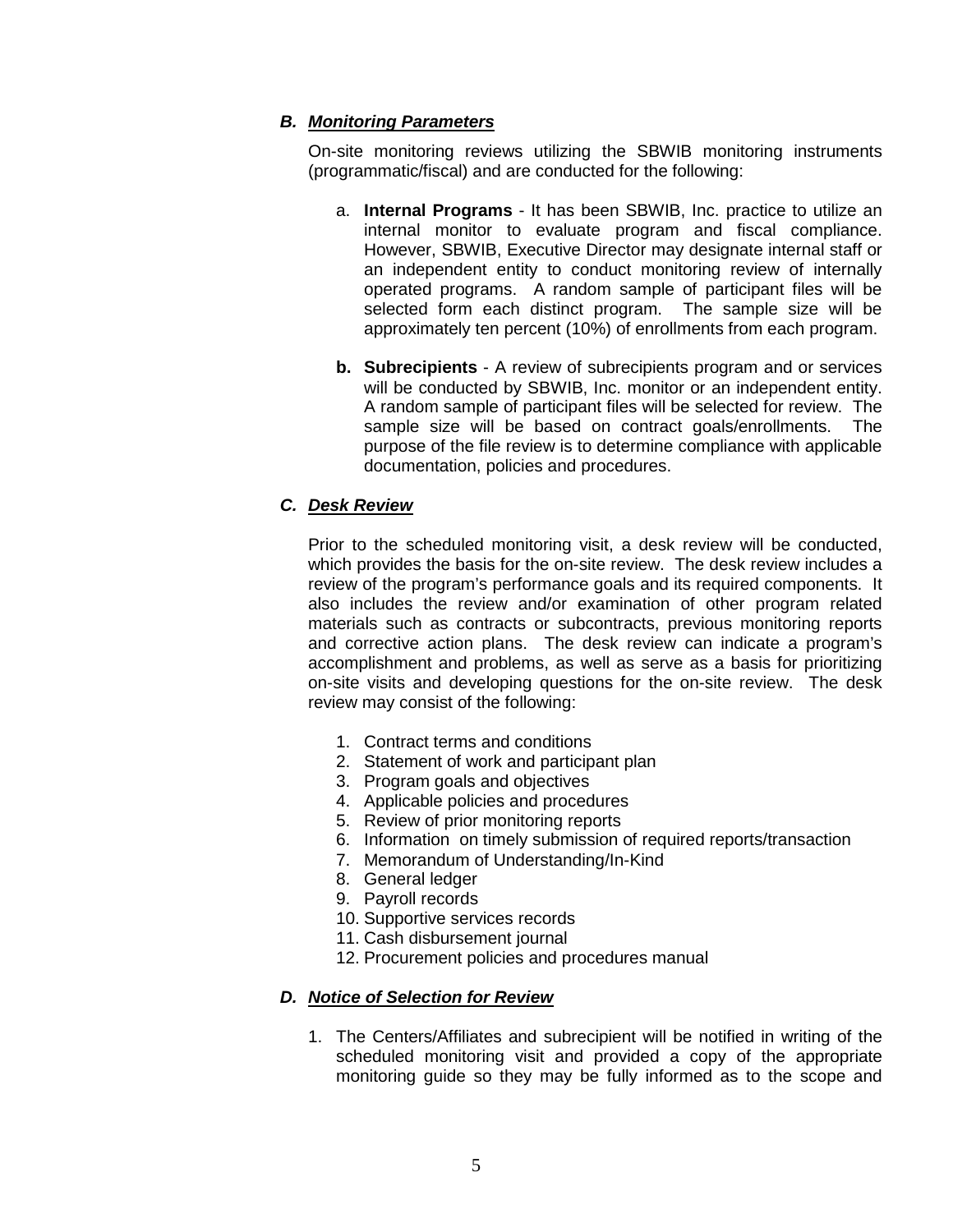### *B. Monitoring Parameters*

On-site monitoring reviews utilizing the SBWIB monitoring instruments (programmatic/fiscal) and are conducted for the following:

- a. **Internal Programs** It has been SBWIB, Inc. practice to utilize an internal monitor to evaluate program and fiscal compliance. However, SBWIB, Executive Director may designate internal staff or an independent entity to conduct monitoring review of internally operated programs. A random sample of participant files will be selected form each distinct program. The sample size will be approximately ten percent (10%) of enrollments from each program.
- **b. Subrecipients** A review of subrecipients program and or services will be conducted by SBWIB, Inc. monitor or an independent entity. A random sample of participant files will be selected for review. The sample size will be based on contract goals/enrollments. The purpose of the file review is to determine compliance with applicable documentation, policies and procedures.

## *C. Desk Review*

Prior to the scheduled monitoring visit, a desk review will be conducted, which provides the basis for the on-site review. The desk review includes a review of the program's performance goals and its required components. It also includes the review and/or examination of other program related materials such as contracts or subcontracts, previous monitoring reports and corrective action plans. The desk review can indicate a program's accomplishment and problems, as well as serve as a basis for prioritizing on-site visits and developing questions for the on-site review. The desk review may consist of the following:

- 1. Contract terms and conditions
- 2. Statement of work and participant plan
- 3. Program goals and objectives
- 4. Applicable policies and procedures
- 5. Review of prior monitoring reports
- 6. Information on timely submission of required reports/transaction
- 7. Memorandum of Understanding/In-Kind
- 8. General ledger
- 9. Payroll records
- 10. Supportive services records
- 11. Cash disbursement journal
- 12. Procurement policies and procedures manual

#### *D. Notice of Selection for Review*

1. The Centers/Affiliates and subrecipient will be notified in writing of the scheduled monitoring visit and provided a copy of the appropriate monitoring guide so they may be fully informed as to the scope and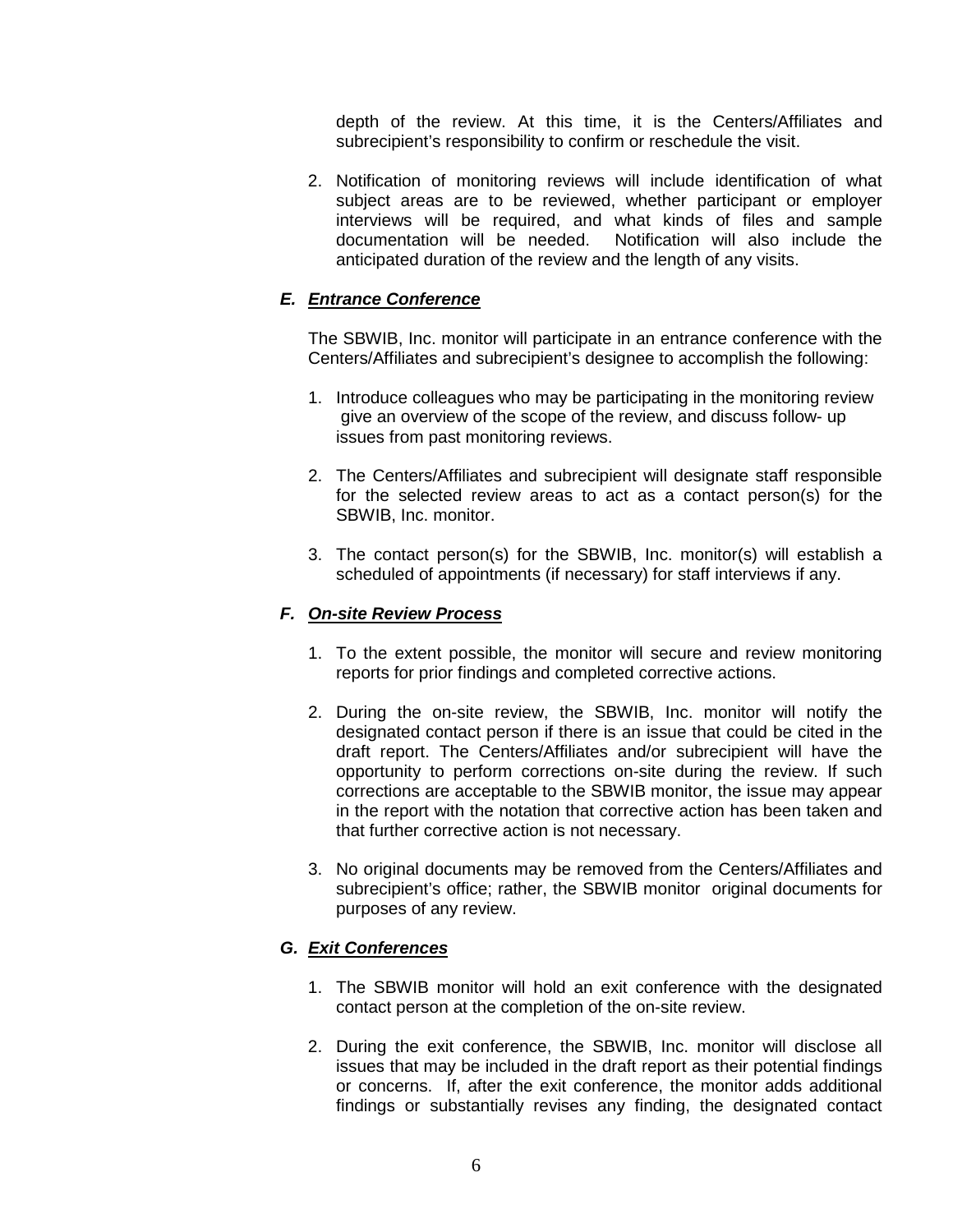depth of the review. At this time, it is the Centers/Affiliates and subrecipient's responsibility to confirm or reschedule the visit.

2. Notification of monitoring reviews will include identification of what subject areas are to be reviewed, whether participant or employer interviews will be required, and what kinds of files and sample Notification will also include the anticipated duration of the review and the length of any visits.

## *E. Entrance Conference*

The SBWIB, Inc. monitor will participate in an entrance conference with the Centers/Affiliates and subrecipient's designee to accomplish the following:

- 1. Introduce colleagues who may be participating in the monitoring review give an overview of the scope of the review, and discuss follow- up issues from past monitoring reviews.
- 2. The Centers/Affiliates and subrecipient will designate staff responsible for the selected review areas to act as a contact person(s) for the SBWIB, Inc. monitor.
- 3. The contact person(s) for the SBWIB, Inc. monitor(s) will establish a scheduled of appointments (if necessary) for staff interviews if any.

#### *F. On-site Review Process*

- 1. To the extent possible, the monitor will secure and review monitoring reports for prior findings and completed corrective actions.
- 2. During the on-site review, the SBWIB, Inc. monitor will notify the designated contact person if there is an issue that could be cited in the draft report. The Centers/Affiliates and/or subrecipient will have the opportunity to perform corrections on-site during the review. If such corrections are acceptable to the SBWIB monitor, the issue may appear in the report with the notation that corrective action has been taken and that further corrective action is not necessary.
- 3. No original documents may be removed from the Centers/Affiliates and subrecipient's office; rather, the SBWIB monitor original documents for purposes of any review.

## *G. Exit Conferences*

- 1. The SBWIB monitor will hold an exit conference with the designated contact person at the completion of the on-site review.
- 2. During the exit conference, the SBWIB, Inc. monitor will disclose all issues that may be included in the draft report as their potential findings or concerns. If, after the exit conference, the monitor adds additional findings or substantially revises any finding, the designated contact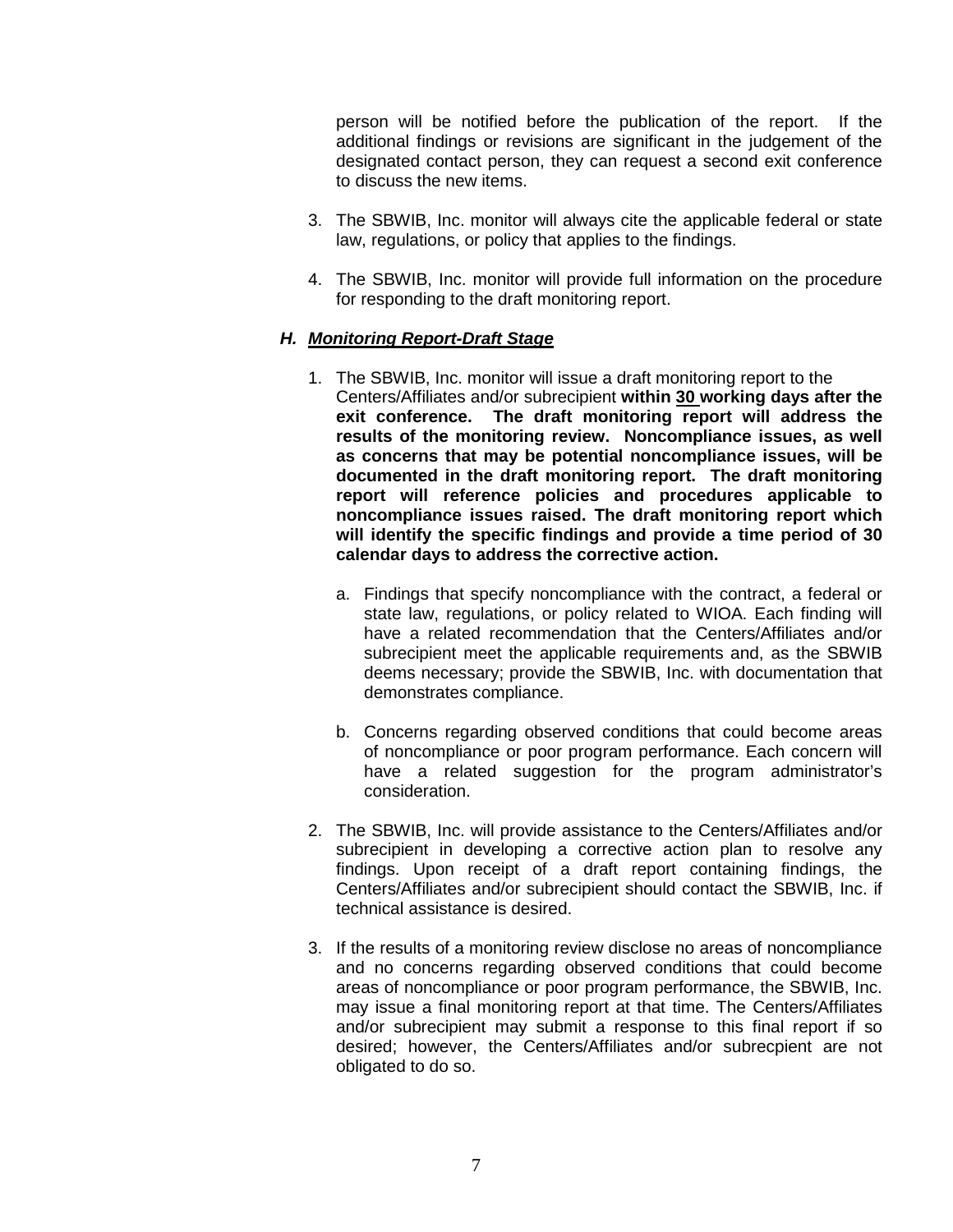person will be notified before the publication of the report. If the additional findings or revisions are significant in the judgement of the designated contact person, they can request a second exit conference to discuss the new items.

- 3. The SBWIB, Inc. monitor will always cite the applicable federal or state law, regulations, or policy that applies to the findings.
- 4. The SBWIB, Inc. monitor will provide full information on the procedure for responding to the draft monitoring report.

## *H. Monitoring Report-Draft Stage*

- 1. The SBWIB, Inc. monitor will issue a draft monitoring report to the Centers/Affiliates and/or subrecipient **within 30 working days after the exit conference. The draft monitoring report will address the results of the monitoring review. Noncompliance issues, as well as concerns that may be potential noncompliance issues, will be documented in the draft monitoring report. The draft monitoring report will reference policies and procedures applicable to noncompliance issues raised. The draft monitoring report which will identify the specific findings and provide a time period of 30 calendar days to address the corrective action.**
	- a. Findings that specify noncompliance with the contract, a federal or state law, regulations, or policy related to WIOA. Each finding will have a related recommendation that the Centers/Affiliates and/or subrecipient meet the applicable requirements and, as the SBWIB deems necessary; provide the SBWIB, Inc. with documentation that demonstrates compliance.
	- b. Concerns regarding observed conditions that could become areas of noncompliance or poor program performance. Each concern will have a related suggestion for the program administrator's consideration.
- 2. The SBWIB, Inc. will provide assistance to the Centers/Affiliates and/or subrecipient in developing a corrective action plan to resolve any findings. Upon receipt of a draft report containing findings, the Centers/Affiliates and/or subrecipient should contact the SBWIB, Inc. if technical assistance is desired.
- 3. If the results of a monitoring review disclose no areas of noncompliance and no concerns regarding observed conditions that could become areas of noncompliance or poor program performance, the SBWIB, Inc. may issue a final monitoring report at that time. The Centers/Affiliates and/or subrecipient may submit a response to this final report if so desired; however, the Centers/Affiliates and/or subrecpient are not obligated to do so.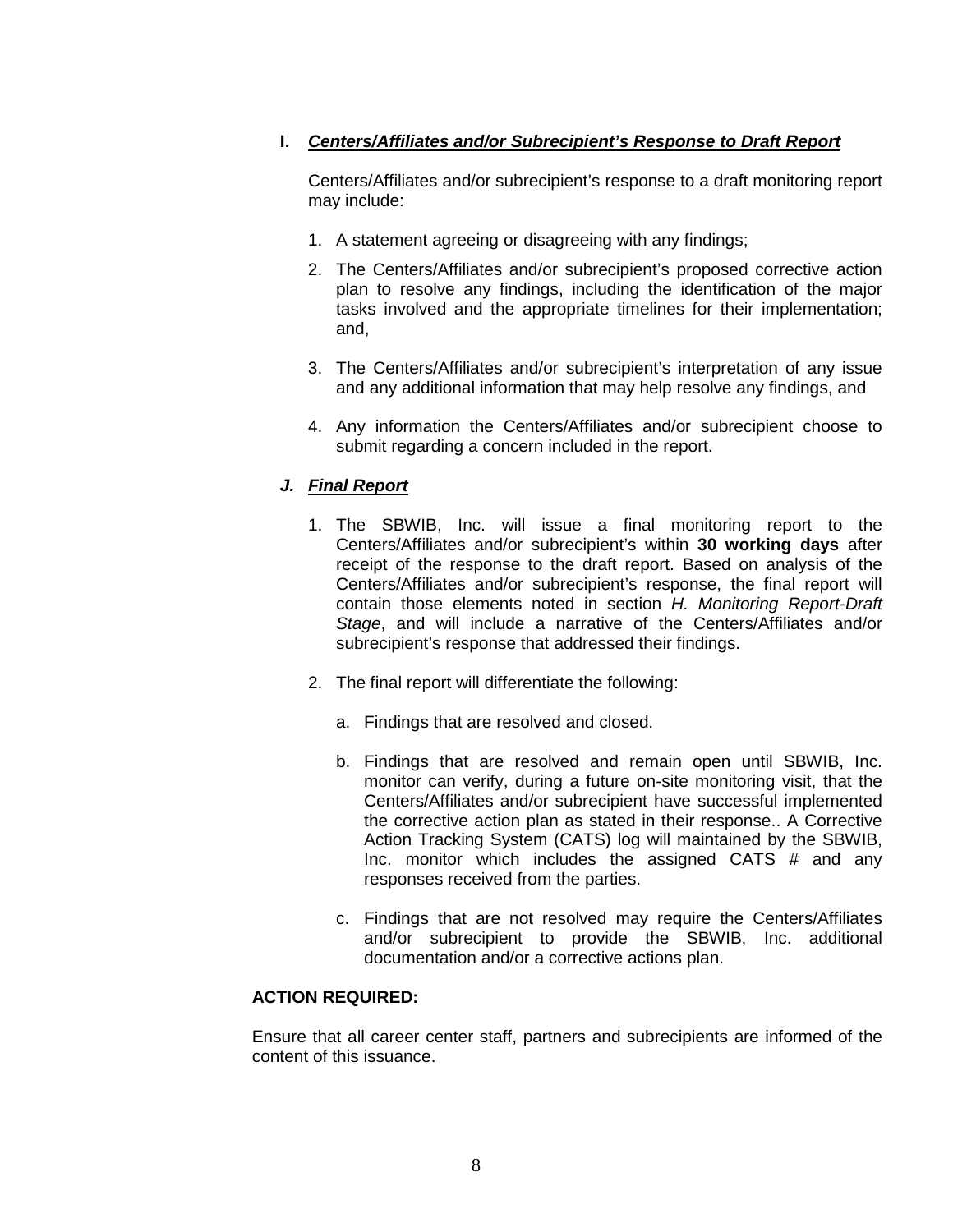# **I.** *Centers/Affiliates and/or Subrecipient's Response to Draft Report*

Centers/Affiliates and/or subrecipient's response to a draft monitoring report may include:

- 1. A statement agreeing or disagreeing with any findings;
- 2. The Centers/Affiliates and/or subrecipient's proposed corrective action plan to resolve any findings, including the identification of the major tasks involved and the appropriate timelines for their implementation; and,
- 3. The Centers/Affiliates and/or subrecipient's interpretation of any issue and any additional information that may help resolve any findings, and
- 4. Any information the Centers/Affiliates and/or subrecipient choose to submit regarding a concern included in the report.

# *J. Final Report*

- 1. The SBWIB, Inc. will issue a final monitoring report to the Centers/Affiliates and/or subrecipient's within **30 working days** after receipt of the response to the draft report. Based on analysis of the Centers/Affiliates and/or subrecipient's response, the final report will contain those elements noted in section *H. Monitoring Report-Draft Stage*, and will include a narrative of the Centers/Affiliates and/or subrecipient's response that addressed their findings.
- 2. The final report will differentiate the following:
	- a. Findings that are resolved and closed.
	- b. Findings that are resolved and remain open until SBWIB, Inc. monitor can verify, during a future on-site monitoring visit, that the Centers/Affiliates and/or subrecipient have successful implemented the corrective action plan as stated in their response.. A Corrective Action Tracking System (CATS) log will maintained by the SBWIB, Inc. monitor which includes the assigned CATS # and any responses received from the parties.
	- c. Findings that are not resolved may require the Centers/Affiliates and/or subrecipient to provide the SBWIB, Inc. additional documentation and/or a corrective actions plan.

## **ACTION REQUIRED:**

Ensure that all career center staff, partners and subrecipients are informed of the content of this issuance.